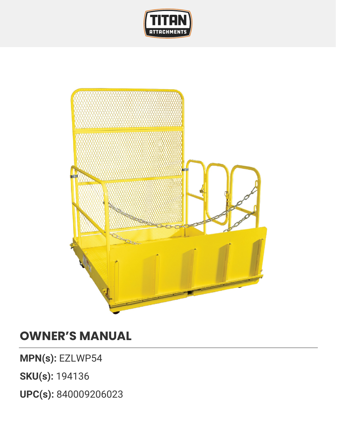



## **OWNER'S MANUAL**

**MPN(s):** EZLWP54

**SKU(s):** 194136

**UPC(s):** 840009206023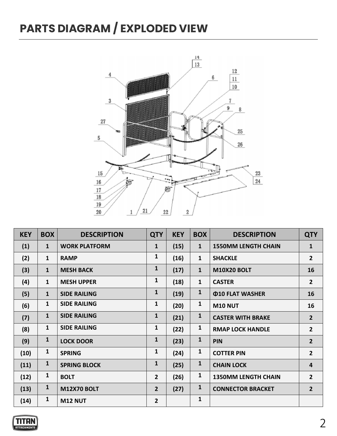## **PARTS DIAGRAM / EXPLODED VIEW**



| <b>KEY</b> | <b>BOX</b>   | <b>DESCRIPTION</b>   | <b>QTY</b>     | <b>KEY</b> | <b>BOX</b>   | <b>DESCRIPTION</b>                   | <b>QTY</b>     |
|------------|--------------|----------------------|----------------|------------|--------------|--------------------------------------|----------------|
| (1)        | $\mathbf{1}$ | <b>WORK PLATFORM</b> | 1              | (15)       | $\mathbf{1}$ | <b>1550MM LENGTH CHAIN</b>           | $\mathbf{1}$   |
| (2)        | $\mathbf{1}$ | <b>RAMP</b>          | $\mathbf{1}$   | (16)       | $\mathbf{1}$ | <b>SHACKLE</b>                       | $\overline{2}$ |
| (3)        | $\mathbf{1}$ | <b>MESH BACK</b>     | $\mathbf{1}$   | (17)       | $\mathbf{1}$ | <b>M10X20 BOLT</b>                   | 16             |
| (4)        | $\mathbf{1}$ | <b>MESH UPPER</b>    | $\mathbf{1}$   | (18)       | $\mathbf{1}$ | <b>CASTER</b>                        | $\overline{2}$ |
| (5)        | $\mathbf{1}$ | <b>SIDE RAILING</b>  | $\mathbf{1}$   | (19)       | $\mathbf{1}$ | <b><i><u>O10 FLAT WASHER</u></i></b> | 16             |
| (6)        | $\mathbf{1}$ | <b>SIDE RAILING</b>  | $\mathbf{1}$   | (20)       | $\mathbf{1}$ | <b>M10 NUT</b>                       | 16             |
| (7)        | $\mathbf{1}$ | <b>SIDE RAILING</b>  | $\mathbf{1}$   | (21)       | $\mathbf{1}$ | <b>CASTER WITH BRAKE</b>             | $\overline{2}$ |
| (8)        | $\mathbf{1}$ | <b>SIDE RAILING</b>  | $\mathbf{1}$   | (22)       | $\mathbf{1}$ | <b>RMAP LOCK HANDLE</b>              | $\overline{2}$ |
| (9)        | $\mathbf{1}$ | <b>LOCK DOOR</b>     | $\mathbf{1}$   | (23)       | $\mathbf{1}$ | <b>PIN</b>                           | $\overline{2}$ |
| (10)       | $\mathbf{1}$ | <b>SPRING</b>        | $\mathbf{1}$   | (24)       | $\mathbf{1}$ | <b>COTTER PIN</b>                    | $\overline{2}$ |
| (11)       | $\mathbf{1}$ | <b>SPRING BLOCK</b>  | $\mathbf{1}$   | (25)       | $\mathbf{1}$ | <b>CHAIN LOCK</b>                    | 4              |
| (12)       | $\mathbf{1}$ | <b>BOLT</b>          | $\overline{2}$ | (26)       | $\mathbf{1}$ | <b>1350MM LENGTH CHAIN</b>           | $2^{1}$        |
| (13)       | $\mathbf{1}$ | <b>M12X70 BOLT</b>   | $\overline{2}$ | (27)       | $\mathbf{1}$ | <b>CONNECTOR BRACKET</b>             | $\overline{2}$ |
| (14)       | $\mathbf{1}$ | <b>M12 NUT</b>       | $\overline{2}$ |            | $\mathbf{1}$ |                                      |                |